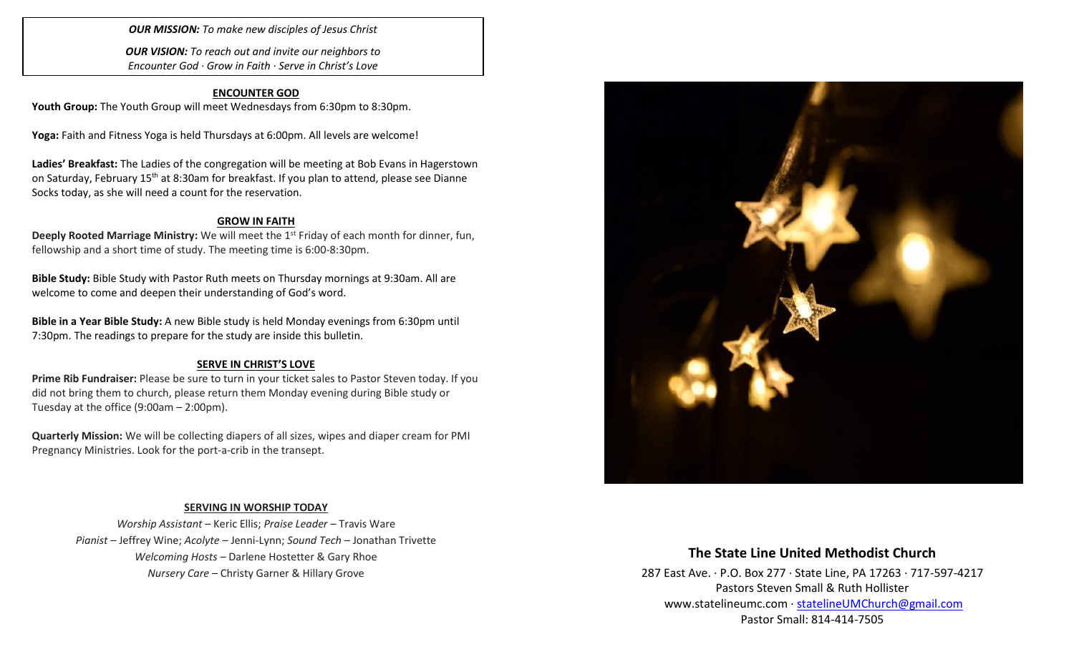*OUR MISSION: To make new disciples of Jesus Christ*

*OUR VISION: To reach out and invite our neighbors to Encounter God · Grow in Faith · Serve in Christ's Love*

## **ENCOUNTER GOD**

Youth Group: The Youth Group will meet Wednesdays from 6:30pm to 8:30pm.

**Yoga:** Faith and Fitness Yoga is held Thursdays at 6:00pm. All levels are welcome!

**Ladies' Breakfast:** The Ladies of the congregation will be meeting at Bob Evans in Hagerstown on Saturday, February 15<sup>th</sup> at 8:30am for breakfast. If you plan to attend, please see Dianne Socks today, as she will need a count for the reservation.

### **GROW IN FAITH**

**Deeply Rooted Marriage Ministry:** We will meet the 1<sup>st</sup> Friday of each month for dinner, fun, fellowship and a short time of study. The meeting time is 6:00-8:30pm.

**Bible Study:** Bible Study with Pastor Ruth meets on Thursday mornings at 9:30am. All are welcome to come and deepen their understanding of God's word.

**Bible in a Year Bible Study:** A new Bible study is held Monday evenings from 6:30pm until 7:30pm. The readings to prepare for the study are inside this bulletin.

### **SERVE IN CHRIST'S LOVE**

**Prime Rib Fundraiser:** Please be sure to turn in your ticket sales to Pastor Steven today. If you did not bring them to church, please return them Monday evening during Bible study or Tuesday at the office (9:00am – 2:00pm).

**Quarterly Mission:** We will be collecting diapers of all sizes, wipes and diaper cream for PMI Pregnancy Ministries. Look for the port-a-crib in the transept.

### **SERVING IN WORSHIP TODAY**

*Worship Assistant* – Keric Ellis; *Praise Leader* – Travis Ware *Pianist* – Jeffrey Wine; *Acolyte* – Jenni-Lynn; *Sound Tech* – Jonathan Trivette *Welcoming Hosts* – Darlene Hostetter & Gary Rhoe *Nursery Care* – Christy Garner & Hillary Grove



# **The State Line United Methodist Church**

287 East Ave. · P.O. Box 277 · State Line, PA 17263 · 717-597-4217 Pastors Steven Small & Ruth Hollister [www.statelineumc.com](http://www.statelineumc.com/) · [statelineUMChurch@gmail.com](mailto:statelineUMChurch@gmail.com) Pastor Small: 814-414-7505